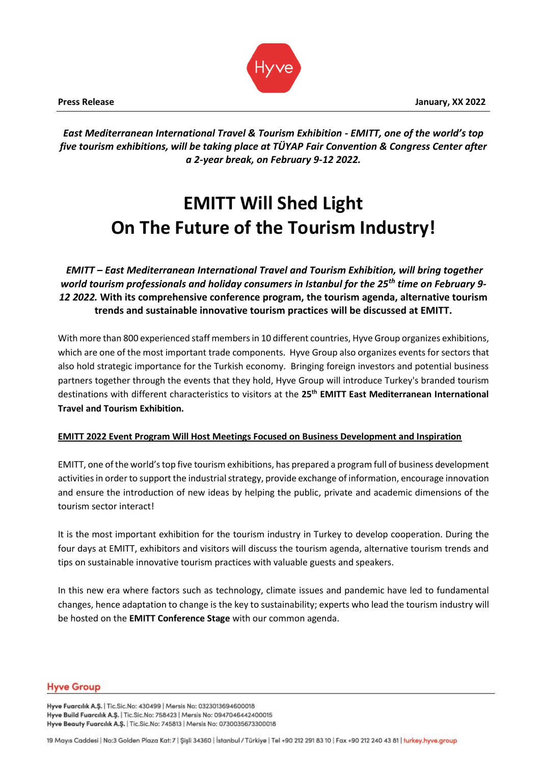

*East Mediterranean International Travel & Tourism Exhibition - EMITT, one of the world's top five tourism exhibitions, will be taking place at TÜYAP Fair Convention & Congress Center after a 2-year break, on February 9-12 2022.*

# **EMITT Will Shed Light On The Future of the Tourism Industry!**

*EMITT – East Mediterranean International Travel and Tourism Exhibition, will bring together world tourism professionals and holiday consumers in Istanbul for the 25th time on February 9- 12 2022.* **With its comprehensive conference program, the tourism agenda, alternative tourism trends and sustainable innovative tourism practices will be discussed at EMITT.** 

With more than 800 experienced staff members in 10 different countries, Hyve Group organizes exhibitions, which are one of the most important trade components. Hyve Group also organizes events for sectors that also hold strategic importance for the Turkish economy. Bringing foreign investors and potential business partners together through the events that they hold, Hyve Group will introduce Turkey's branded tourism destinations with different characteristics to visitors at the **25th EMITT East Mediterranean International Travel and Tourism Exhibition.**

#### **EMITT 2022 Event Program Will Host Meetings Focused on Business Development and Inspiration**

EMITT, one of the world's top five tourism exhibitions, has prepared a program full of business development activities in order to support the industrial strategy, provide exchange of information, encourage innovation and ensure the introduction of new ideas by helping the public, private and academic dimensions of the tourism sector interact!

It is the most important exhibition for the tourism industry in Turkey to develop cooperation. During the four days at EMITT, exhibitors and visitors will discuss the tourism agenda, alternative tourism trends and tips on sustainable innovative tourism practices with valuable guests and speakers.

In this new era where factors such as technology, climate issues and pandemic have led to fundamental changes, hence adaptation to change is the key to sustainability; experts who lead the tourism industry will be hosted on the **EMITT Conference Stage** with our common agenda.

#### **Hyve Group**

Hyve Fuarcılık A.Ş. | Tic.Sic.No: 430499 | Mersis No: 0323013694600018 Hyve Build Fuarcılık A.Ş. | Tic.Sic.No: 758423 | Mersis No: 0947046442400015 Hyve Beauty Fuarcılık A.Ş. | Tic.Sic.No: 745813 | Mersis No: 0730035673300018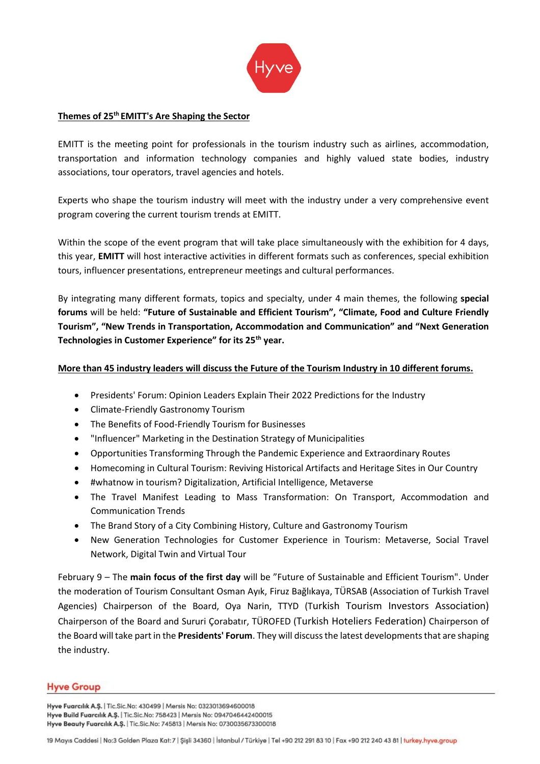

### **Themes of 25th EMITT's Are Shaping the Sector**

EMITT is the meeting point for professionals in the tourism industry such as airlines, accommodation, transportation and information technology companies and highly valued state bodies, industry associations, tour operators, travel agencies and hotels.

Experts who shape the tourism industry will meet with the industry under a very comprehensive event program covering the current tourism trends at EMITT.

Within the scope of the event program that will take place simultaneously with the exhibition for 4 days, this year, **EMITT** will host interactive activities in different formats such as conferences, special exhibition tours, influencer presentations, entrepreneur meetings and cultural performances.

By integrating many different formats, topics and specialty, under 4 main themes, the following **special forums** will be held: **"Future of Sustainable and Efficient Tourism", "Climate, Food and Culture Friendly Tourism", "New Trends in Transportation, Accommodation and Communication" and "Next Generation Technologies in Customer Experience" for its 25th year.**

## **More than 45 industry leaders will discuss the Future of the Tourism Industry in 10 different forums.**

- Presidents' Forum: Opinion Leaders Explain Their 2022 Predictions for the Industry
- Climate-Friendly Gastronomy Tourism
- The Benefits of Food-Friendly Tourism for Businesses
- "Influencer" Marketing in the Destination Strategy of Municipalities
- Opportunities Transforming Through the Pandemic Experience and Extraordinary Routes
- Homecoming in Cultural Tourism: Reviving Historical Artifacts and Heritage Sites in Our Country
- #whatnow in tourism? Digitalization, Artificial Intelligence, Metaverse
- The Travel Manifest Leading to Mass Transformation: On Transport, Accommodation and Communication Trends
- The Brand Story of a City Combining History, Culture and Gastronomy Tourism
- New Generation Technologies for Customer Experience in Tourism: Metaverse, Social Travel Network, Digital Twin and Virtual Tour

February 9 – The **main focus of the first day** will be "Future of Sustainable and Efficient Tourism". Under the moderation of Tourism Consultant Osman Ayık, Firuz Bağlıkaya, TÜRSAB (Association of Turkish Travel Agencies) Chairperson of the Board, Oya Narin, TTYD (Turkish Tourism Investors Association) Chairperson of the Board and Sururi Çorabatır, TÜROFED (Turkish Hoteliers Federation) Chairperson of the Board will take part in the **Presidents' Forum**. They will discuss the latest developments that are shaping the industry.

#### **Hyve Group**

Hyve Fuarcılık A.Ş. | Tic.Sic.No: 430499 | Mersis No: 0323013694600018 Hyve Build Fuarcılık A.Ş. | Tic.Sic.No: 758423 | Mersis No: 0947046442400015 Hyve Beauty Fuarcılık A.Ş. | Tic.Sic.No: 745813 | Mersis No: 0730035673300018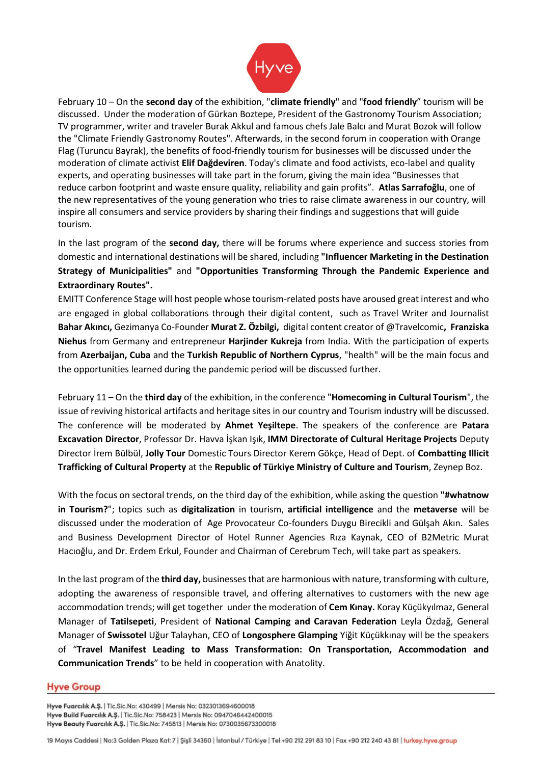

February 10 – On the **second day** of the exhibition, "**climate friendly**" and "**food friendly**" tourism will be discussed. Under the moderation of Gürkan Boztepe, President of the Gastronomy Tourism Association; TV programmer, writer and traveler Burak Akkul and famous chefs Jale Balcı and Murat Bozok will follow the "Climate Friendly Gastronomy Routes". Afterwards, in the second forum in cooperation with Orange Flag (Turuncu Bayrak), the benefits of food-friendly tourism for businesses will be discussed under the moderation of climate activist **Elif Dağdeviren**. Today's climate and food activists, eco-label and quality experts, and operating businesses will take part in the forum, giving the main idea "Businesses that reduce carbon footprint and waste ensure quality, reliability and gain profits". **Atlas Sarrafoğlu**, one of the new representatives of the young generation who tries to raise climate awareness in our country, will inspire all consumers and service providers by sharing their findings and suggestions that will guide tourism.

In the last program of the **second day,** there will be forums where experience and success stories from domestic and international destinations will be shared, including **"Influencer Marketing in the Destination Strategy of Municipalities"** and **"Opportunities Transforming Through the Pandemic Experience and Extraordinary Routes".**

EMITT Conference Stage will host people whose tourism-related posts have aroused great interest and who are engaged in global collaborations through their digital content, such as Travel Writer and Journalist **Bahar Akıncı,** Gezimanya Co-Founder **Murat Z. Özbilgi,** digital content creator of @Travelcomic**, Franziska Niehus** from Germany and entrepreneur **Harjinder Kukreja** from India. With the participation of experts from **Azerbaijan, Cuba** and the **Turkish Republic of Northern Cyprus**, "health" will be the main focus and the opportunities learned during the pandemic period will be discussed further.

February 11 – On the **third day** of the exhibition, in the conference "**Homecoming in Cultural Tourism**", the issue of reviving historical artifacts and heritage sites in our country and Tourism industry will be discussed. The conference will be moderated by **Ahmet Yeşiltepe**. The speakers of the conference are **Patara Excavation Director**, Professor Dr. Havva İşkan Işık, **IMM Directorate of Cultural Heritage Projects** Deputy Director İrem Bülbül, **Jolly Tour** Domestic Tours Director Kerem Gökçe, Head of Dept. of **Combatting Illicit Trafficking of Cultural Property** at the **Republic of Türkiye Ministry of Culture and Tourism**, Zeynep Boz.

With the focus on sectoral trends, on the third day of the exhibition, while asking the question **"#whatnow in Tourism?**"; topics such as **digitalization** in tourism, **artificial intelligence** and the **metaverse** will be discussed under the moderation of Age Provocateur Co-founders Duygu Birecikli and Gülşah Akın. Sales and Business Development Director of Hotel Runner Agencies Rıza Kaynak, CEO of B2Metric Murat Hacıoğlu, and Dr. Erdem Erkul, Founder and Chairman of Cerebrum Tech, will take part as speakers.

In the last program of the **third day,** businesses that are harmonious with nature, transforming with culture, adopting the awareness of responsible travel, and offering alternatives to customers with the new age accommodation trends; will get together under the moderation of **Cem Kınay.** Koray Küçükyılmaz, General Manager of **Tatilsepeti**, President of **National Camping and Caravan Federation** Leyla Özdağ, General Manager of **Swissotel** Uğur Talayhan, CEO of **Longosphere Glamping** Yiğit Küçükkınay will be the speakers of "**Travel Manifest Leading to Mass Transformation: On Transportation, Accommodation and Communication Trends**" to be held in cooperation with Anatolity.

#### **Hyve Group**

Hyve Fuarcılık A.Ş. | Tic.Sic.No: 430499 | Mersis No: 0323013694600018 Hyve Build Fuarcılık A.Ş. | Tic.Sic.No: 758423 | Mersis No: 0947046442400015 Hyve Beauty Fuarcılık A.Ş. | Tic.Sic.No: 745813 | Mersis No: 0730035673300018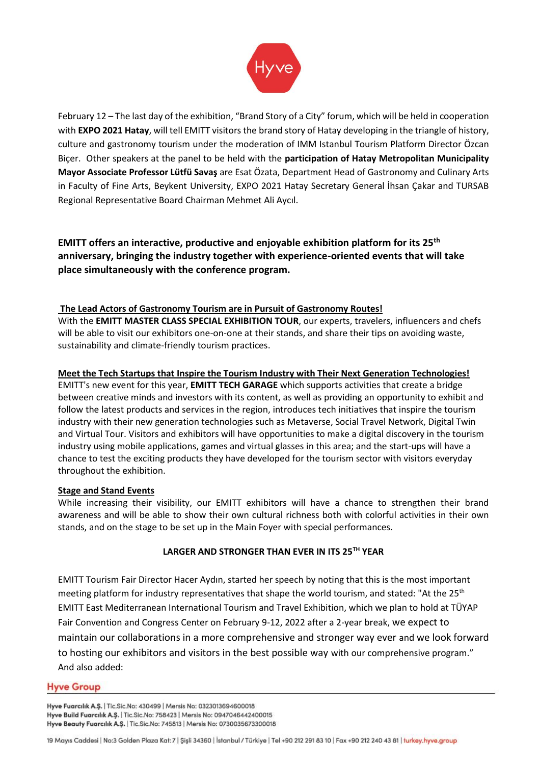

February 12 – The last day of the exhibition, "Brand Story of a City" forum, which will be held in cooperation with **EXPO 2021 Hatay**, will tell EMITT visitors the brand story of Hatay developing in the triangle of history, culture and gastronomy tourism under the moderation of IMM Istanbul Tourism Platform Director Özcan Biçer. Other speakers at the panel to be held with the **participation of Hatay Metropolitan Municipality Mayor Associate Professor Lütfü Savaş** are Esat Özata, Department Head of Gastronomy and Culinary Arts in Faculty of Fine Arts, Beykent University, EXPO 2021 Hatay Secretary General İhsan Çakar and TURSAB Regional Representative Board Chairman Mehmet Ali Aycıl.

**EMITT offers an interactive, productive and enjoyable exhibition platform for its 25th anniversary, bringing the industry together with experience-oriented events that will take place simultaneously with the conference program.** 

#### **The Lead Actors of Gastronomy Tourism are in Pursuit of Gastronomy Routes!**

With the **EMITT MASTER CLASS SPECIAL EXHIBITION TOUR**, our experts, travelers, influencers and chefs will be able to visit our exhibitors one-on-one at their stands, and share their tips on avoiding waste, sustainability and climate-friendly tourism practices.

#### **Meet the Tech Startups that Inspire the Tourism Industry with Their Next Generation Technologies!**

EMITT's new event for this year, **EMITT TECH GARAGE** which supports activities that create a bridge between creative minds and investors with its content, as well as providing an opportunity to exhibit and follow the latest products and services in the region, introduces tech initiatives that inspire the tourism industry with their new generation technologies such as Metaverse, Social Travel Network, Digital Twin and Virtual Tour. Visitors and exhibitors will have opportunities to make a digital discovery in the tourism industry using mobile applications, games and virtual glasses in this area; and the start-ups will have a chance to test the exciting products they have developed for the tourism sector with visitors everyday throughout the exhibition.

#### **Stage and Stand Events**

While increasing their visibility, our EMITT exhibitors will have a chance to strengthen their brand awareness and will be able to show their own cultural richness both with colorful activities in their own stands, and on the stage to be set up in the Main Foyer with special performances.

#### **LARGER AND STRONGER THAN EVER IN ITS 25TH YEAR**

EMITT Tourism Fair Director Hacer Aydın, started her speech by noting that this is the most important meeting platform for industry representatives that shape the world tourism, and stated: "At the 25<sup>th</sup> EMITT East Mediterranean International Tourism and Travel Exhibition, which we plan to hold at TÜYAP Fair Convention and Congress Center on February 9-12, 2022 after a 2-year break, we expect to maintain our collaborations in a more comprehensive and stronger way ever and we look forward to hosting our exhibitors and visitors in the best possible way with our comprehensive program." And also added:

#### **Hyve Group**

Hyve Fuarcılık A.Ş. | Tic.Sic.No: 430499 | Mersis No: 0323013694600018 Hyve Build Fuarcılık A.Ş. | Tic.Sic.No: 758423 | Mersis No: 0947046442400015 Hyve Beauty Fuarcılık A.Ş. | Tic.Sic.No: 745813 | Mersis No: 0730035673300018